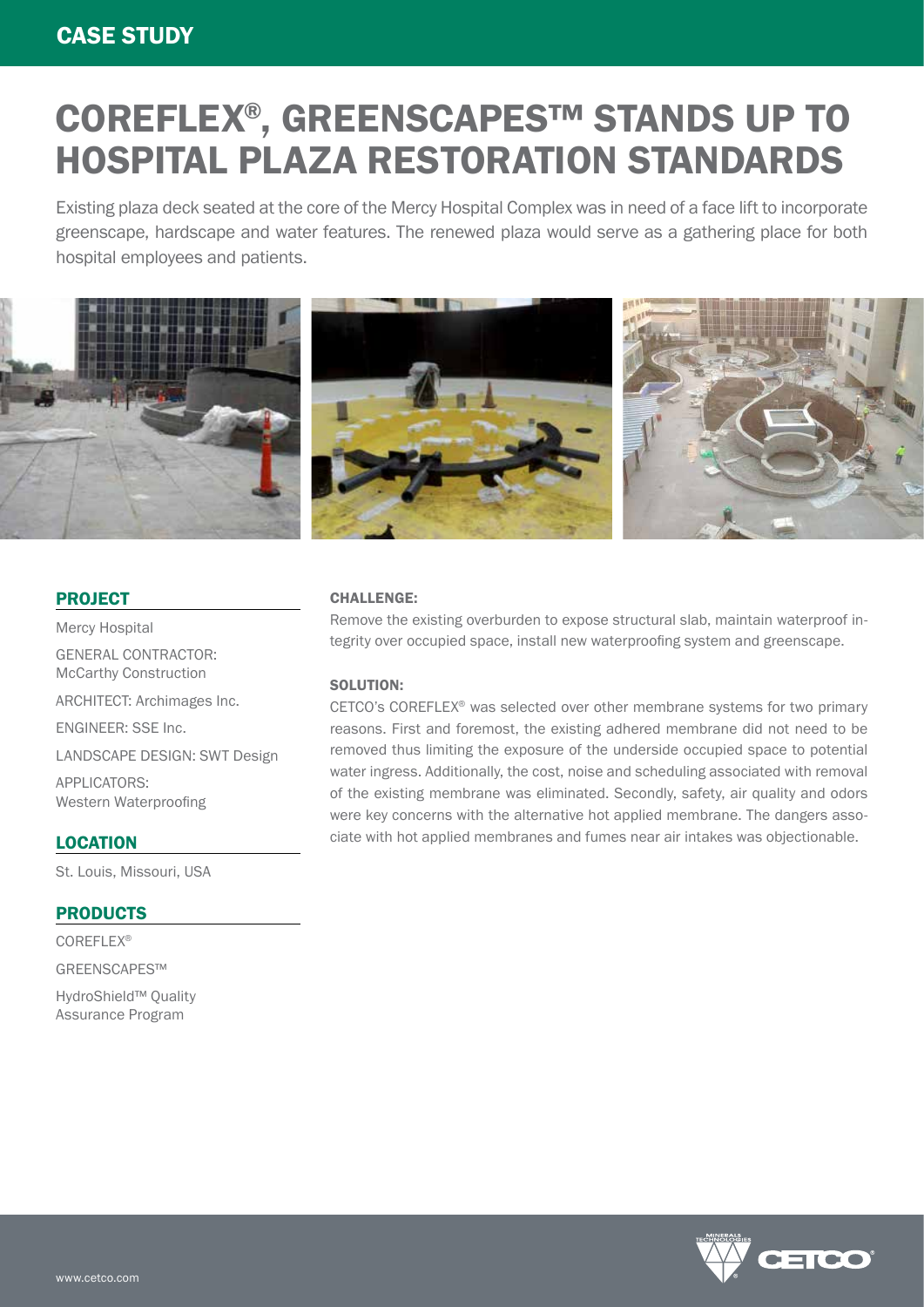# COREFLEX®, GREENSCAPES™ STANDS UP TO HOSPITAL PLAZA RESTORATION STANDARDS

Existing plaza deck seated at the core of the Mercy Hospital Complex was in need of a face lift to incorporate greenscape, hardscape and water features. The renewed plaza would serve as a gathering place for both hospital employees and patients.



### PROJECT

Mercy Hospital GENERAL CONTRACTOR: McCarthy Construction

ARCHITECT: Archimages Inc.

ENGINEER: SSE Inc.

LANDSCAPE DESIGN: SWT Design

APPLICATORS: Western Waterproofing

#### LOCATION

St. Louis, Missouri, USA

#### **PRODUCTS**

COREFLEX®

GREENSCAPES™

HydroShield™ Quality Assurance Program

#### CHALLENGE:

Remove the existing overburden to expose structural slab, maintain waterproof integrity over occupied space, install new waterproofing system and greenscape.

#### SOLUTION:

CETCO's COREFLEX® was selected over other membrane systems for two primary reasons. First and foremost, the existing adhered membrane did not need to be removed thus limiting the exposure of the underside occupied space to potential water ingress. Additionally, the cost, noise and scheduling associated with removal of the existing membrane was eliminated. Secondly, safety, air quality and odors were key concerns with the alternative hot applied membrane. The dangers associate with hot applied membranes and fumes near air intakes was objectionable.